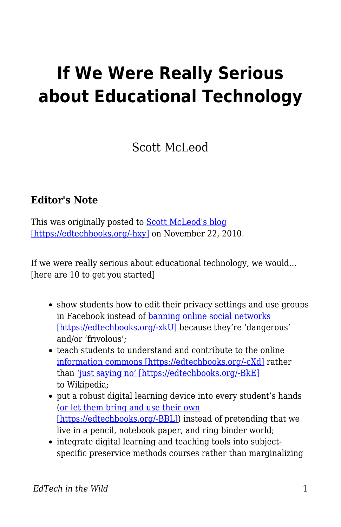## **If We Were Really Serious about Educational Technology**

## Scott McLeod

## **Editor's Note**

This was originally posted to **Scott McLeod's blog** [\[https://edtechbooks.org/-hxy\]](http://dangerouslyirrelevant.org/2010/11/if-we-were-really-serious-about-educational-technology.html) on November 22, 2010.

If we were really serious about educational technology, we would… [here are 10 to get you started]

- show students how to edit their privacy settings and use groups in Facebook instead of [banning online social networks](http://dangerouslyirrelevant.org/2010/09/video-response-to-principal-who-bans-social-media.html) [\[https://edtechbooks.org/-xkU\]](http://dangerouslyirrelevant.org/2010/09/video-response-to-principal-who-bans-social-media.html) because they're 'dangerous' and/or 'frivolous';
- teach students to understand and contribute to the online [information commons \[https://edtechbooks.org/-cXd\]](http://en.wikipedia.org/wiki/Information_Commons) rather than ['just saying no' \[https://edtechbooks.org/-BkE\]](http://dangerouslyirrelevant.org/2007/11/just-say-no-to.html) to Wikipedia;
- put a robust digital learning device into every student's hands ([or let them bring and use their own](http://dangerouslyirrelevant.org/2009/03/slide-banning-student-computers.html) [\[https://edtechbooks.org/-BBL\]\)](http://dangerouslyirrelevant.org/2009/03/slide-banning-student-computers.html) instead of pretending that we live in a pencil, notebook paper, and ring binder world;
- integrate digital learning and teaching tools into subjectspecific preservice methods courses rather than marginalizing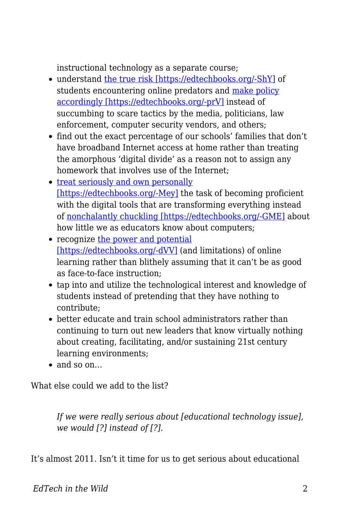instructional technology as a separate course;

- understand [the true risk \[https://edtechbooks.org/-ShY\]](http://www.unh.edu/ccrc/internet-crimes/) of students encountering online predators and [make policy](http://cyber.law.harvard.edu/pubrelease/isttf/) [accordingly \[https://edtechbooks.org/-prV\]](http://cyber.law.harvard.edu/pubrelease/isttf/) instead of succumbing to scare tactics by the media, politicians, law enforcement, computer security vendors, and others;
- find out the exact percentage of our schools' families that don't have broadband Internet access at home rather than treating the amorphous 'digital divide' as a reason not to assign any homework that involves use of the Internet;
- [treat seriously and own personally](http://dangerouslyirrelevant.org/2010/09/we-cant-let-educators-off-the-hook.html) [\[https://edtechbooks.org/-Mey\]](http://dangerouslyirrelevant.org/2010/09/we-cant-let-educators-off-the-hook.html) the task of becoming proficient with the digital tools that are transforming everything instead of [nonchalantly chuckling \[https://edtechbooks.org/-GME\]](http://dangerouslyirrelevant.org/2009/08/im-not-good-at-math-im-not-very-good-at-computers.html) about how little we as educators know about computers;
- recognize [the power and potential](http://www2.ed.gov/rschstat/eval/tech/evidence-based-practices/finalreport.pdf) [\[https://edtechbooks.org/-dVV\]](http://www2.ed.gov/rschstat/eval/tech/evidence-based-practices/finalreport.pdf) (and limitations) of online learning rather than blithely assuming that it can't be as good as face-to-face instruction;
- tap into and utilize the technological interest and knowledge of students instead of pretending that they have nothing to contribute;
- better educate and train school administrators rather than continuing to turn out new leaders that know virtually nothing about creating, facilitating, and/or sustaining 21st century learning environments;
- and so on

What else could we add to the list?

*If we were really serious about [educational technology issue], we would [?] instead of [?].*

It's almost 2011. Isn't it time for us to get serious about educational